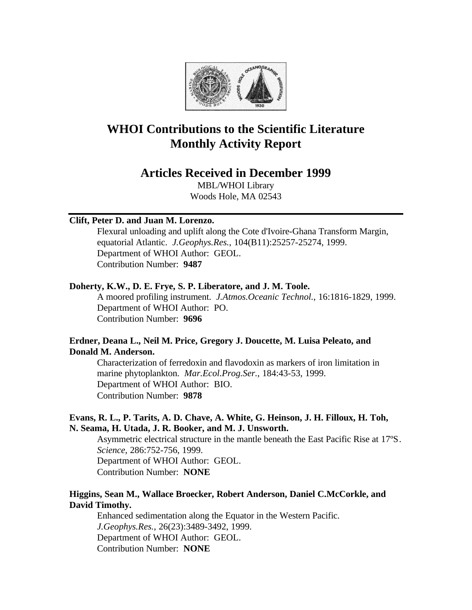

# **WHOI Contributions to the Scientific Literature Monthly Activity Report**

# **Articles Received in December 1999**

MBL/WHOI Library Woods Hole, MA 02543

#### **Clift, Peter D. and Juan M. Lorenzo.**

Flexural unloading and uplift along the Cote d'Ivoire-Ghana Transform Margin, equatorial Atlantic. *J.Geophys.Res.*, 104(B11):25257-25274, 1999. Department of WHOI Author: GEOL. Contribution Number: **9487**

#### **Doherty, K.W., D. E. Frye, S. P. Liberatore, and J. M. Toole.**

A moored profiling instrument. *J.Atmos.Oceanic Technol.*, 16:1816-1829, 1999. Department of WHOI Author: PO. Contribution Number: **9696**

# **Erdner, Deana L., Neil M. Price, Gregory J. Doucette, M. Luisa Peleato, and Donald M. Anderson.**

Characterization of ferredoxin and flavodoxin as markers of iron limitation in marine phytoplankton. *Mar.Ecol.Prog.Ser.*, 184:43-53, 1999. Department of WHOI Author: BIO. Contribution Number: **9878**

# **Evans, R. L., P. Tarits, A. D. Chave, A. White, G. Heinson, J. H. Filloux, H. Toh, N. Seama, H. Utada, J. R. Booker, and M. J. Unsworth.**

Asymmetric electrical structure in the mantle beneath the East Pacific Rise at 17ºS. *Science*, 286:752-756, 1999. Department of WHOI Author: GEOL. Contribution Number: **NONE**

# **Higgins, Sean M., Wallace Broecker, Robert Anderson, Daniel C.McCorkle, and David Timothy.**

Enhanced sedimentation along the Equator in the Western Pacific. *J.Geophys.Res.*, 26(23):3489-3492, 1999. Department of WHOI Author: GEOL. Contribution Number: **NONE**